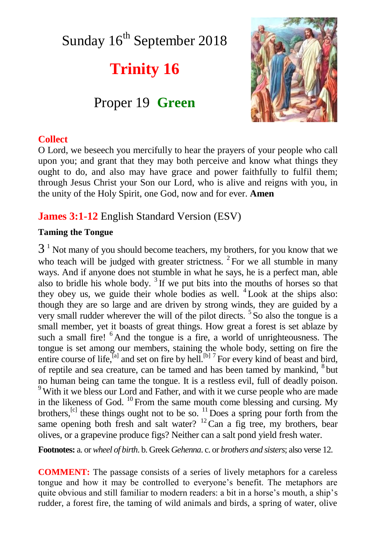# Sunday 16<sup>th</sup> September 2018

# **Trinity 16**

# Proper 19 **Green**



#### **Collect**

O Lord, we beseech you mercifully to hear the prayers of your people who call upon you; and grant that they may both perceive and know what things they ought to do, and also may have grace and power faithfully to fulfil them; through Jesus Christ your Son our Lord, who is alive and reigns with you, in the unity of the Holy Spirit, one God, now and for ever. **Amen**

### **James 3:1-12** English Standard Version (ESV)

#### **Taming the Tongue**

 $3<sup>1</sup>$  Not many of you should become teachers, my brothers, for you know that we who teach will be judged with greater strictness.  $2$  For we all stumble in many ways. And if anyone does not stumble in what he says, he is a perfect man, able also to bridle his whole body.  $3$  If we put bits into the mouths of horses so that they obey us, we guide their whole bodies as well.  $4$  Look at the ships also: though they are so large and are driven by strong winds, they are guided by a very small rudder wherever the will of the pilot directs. <sup>5</sup> So also the tongue is a small member, yet it boasts of great things. How great a forest is set ablaze by such a small fire! <sup>6</sup> And the tongue is a fire, a world of unrighteousness. The tongue is set among our members, staining the whole body, setting on fire the entire course of life,<sup>[a]</sup> and set on fire by hell.<sup>[b] 7</sup> For every kind of beast and bird, of reptile and sea creature, can be tamed and has been tamed by mankind, <sup>8</sup> but no human being can tame the tongue. It is a restless evil, full of deadly poison. <sup>9</sup>With it we bless our Lord and Father, and with it we curse people who are made in the likeness of God.  $^{10}$  From the same mouth come blessing and cursing. My brothers,<sup>[c]</sup> these things ought not to be so.  $^{11}$  Does a spring pour forth from the same opening both fresh and salt water?  $^{12}$ Can a fig tree, my brothers, bear olives, or a grapevine produce figs? Neither can a salt pond yield fresh water.

**Footnotes:** a. or *wheel of birth*. b. Greek *Gehenna*. c. or *brothers and sisters*; also verse 12.

**COMMENT:** The passage consists of a series of lively metaphors for a careless tongue and how it may be controlled to everyone's benefit. The metaphors are quite obvious and still familiar to modern readers: a bit in a horse's mouth, a ship's rudder, a forest fire, the taming of wild animals and birds, a spring of water, olive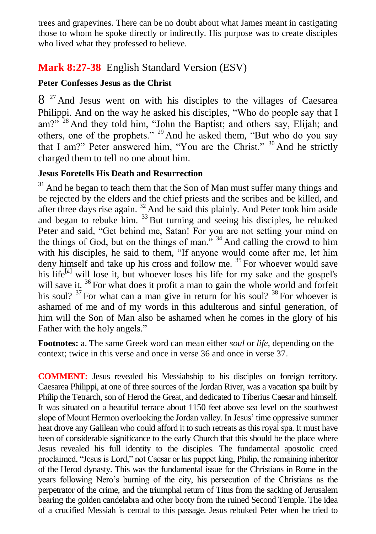trees and grapevines. There can be no doubt about what James meant in castigating those to whom he spoke directly or indirectly. His purpose was to create disciples who lived what they professed to believe.

## **Mark 8:27-38** English Standard Version (ESV)

### **Peter Confesses Jesus as the Christ**

8<sup>27</sup> And Jesus went on with his disciples to the villages of Caesarea Philippi. And on the way he asked his disciples, "Who do people say that I am?"<sup>28</sup> And they told him, "John the Baptist; and others say, Elijah; and others, one of the prophets." <sup>29</sup> And he asked them, "But who do you say that I am?" Peter answered him, "You are the Christ." <sup>30</sup> And he strictly charged them to tell no one about him.

#### **Jesus Foretells His Death and Resurrection**

 $31$  And he began to teach them that the Son of Man must suffer many things and be rejected by the elders and the chief priests and the scribes and be killed, and after three days rise again.  $32$  And he said this plainly. And Peter took him aside and began to rebuke him. <sup>33</sup> But turning and seeing his disciples, he rebuked Peter and said, "Get behind me, Satan! For you are not setting your mind on the things of God, but on the things of man."  $34$  And calling the crowd to him with his disciples, he said to them, "If anyone would come after me, let him deny himself and take up his cross and follow me.<sup>35</sup> For whoever would save his life $[<sup>[a]</sup>$  will lose it, but whoever loses his life for my sake and the gospel's will save it. <sup>36</sup> For what does it profit a man to gain the whole world and forfeit his soul?  $37$  For what can a man give in return for his soul?  $38$  For whoever is ashamed of me and of my words in this adulterous and sinful generation, of him will the Son of Man also be ashamed when he comes in the glory of his Father with the holy angels."

**Footnotes:** a. The same Greek word can mean either *soul* or *life*, depending on the context; twice in this verse and once in verse 36 and once in verse 37.

**COMMENT:** Jesus revealed his Messiahship to his disciples on foreign territory. Caesarea Philippi, at one of three sources of the Jordan River, was a vacation spa built by Philip the Tetrarch, son of Herod the Great, and dedicated to Tiberius Caesar and himself. It was situated on a beautiful terrace about 1150 feet above sea level on the southwest slope of Mount Hermon overlooking the Jordan valley. In Jesus' time oppressive summer heat drove any Galilean who could afford it to such retreats as this royal spa. It must have been of considerable significance to the early Church that this should be the place where Jesus revealed his full identity to the disciples. The fundamental apostolic creed proclaimed, "Jesus is Lord," not Caesar or his puppet king, Philip, the remaining inheritor of the Herod dynasty. This was the fundamental issue for the Christians in Rome in the years following Nero's burning of the city, his persecution of the Christians as the perpetrator of the crime, and the triumphal return of Titus from the sacking of Jerusalem bearing the golden candelabra and other booty from the ruined Second Temple. The idea of a crucified Messiah is central to this passage. Jesus rebuked Peter when he tried to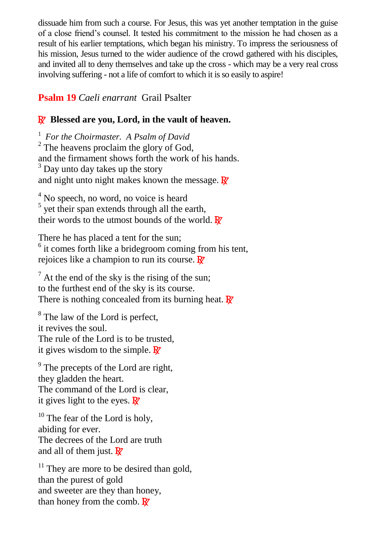dissuade him from such a course. For Jesus, this was yet another temptation in the guise of a close friend's counsel. It tested his commitment to the mission he had chosen as a result of his earlier temptations, which began his ministry. To impress the seriousness of his mission, Jesus turned to the wider audience of the crowd gathered with his disciples, and invited all to deny themselves and take up the cross - which may be a very real cross involving suffering - not a life of comfort to which it is so easily to aspire!

### **Psalm 19** *Caeli enarrant* Grail Psalter

#### R **Blessed are you, Lord, in the vault of heaven.**

1 *For the Choirmaster. A Psalm of David*  $2^2$  The heavens proclaim the glory of God, and the firmament shows forth the work of his hands. <sup>3</sup> Day unto day takes up the story and night unto night makes known the message.  $\mathbf{R}$ 

<sup>4</sup> No speech, no word, no voice is heard <sup>5</sup> yet their span extends through all the earth, their words to the utmost bounds of the world.  $\mathbb{R}^7$ 

There he has placed a tent for the sun; <sup>6</sup> it comes forth like a bridegroom coming from his tent, rejoices like a champion to run its course.  $\mathbb{R}^7$ 

 $<sup>7</sup>$  At the end of the sky is the rising of the sun;</sup> to the furthest end of the sky is its course. There is nothing concealed from its burning heat.  $\mathbb{R}^7$ 

<sup>8</sup> The law of the Lord is perfect, it revives the soul. The rule of the Lord is to be trusted, it gives wisdom to the simple.  $\mathbb{R}^7$ 

<sup>9</sup> The precepts of the Lord are right, they gladden the heart. The command of the Lord is clear, it gives light to the eyes.  $\mathbf{\mathbb{R}}$ 

 $10$  The fear of the Lord is holy, abiding for ever. The decrees of the Lord are truth and all of them just.  $\mathbf{R}^{\prime}$ 

 $11$  They are more to be desired than gold, than the purest of gold and sweeter are they than honey, than honey from the comb.  $\mathbf{R}$